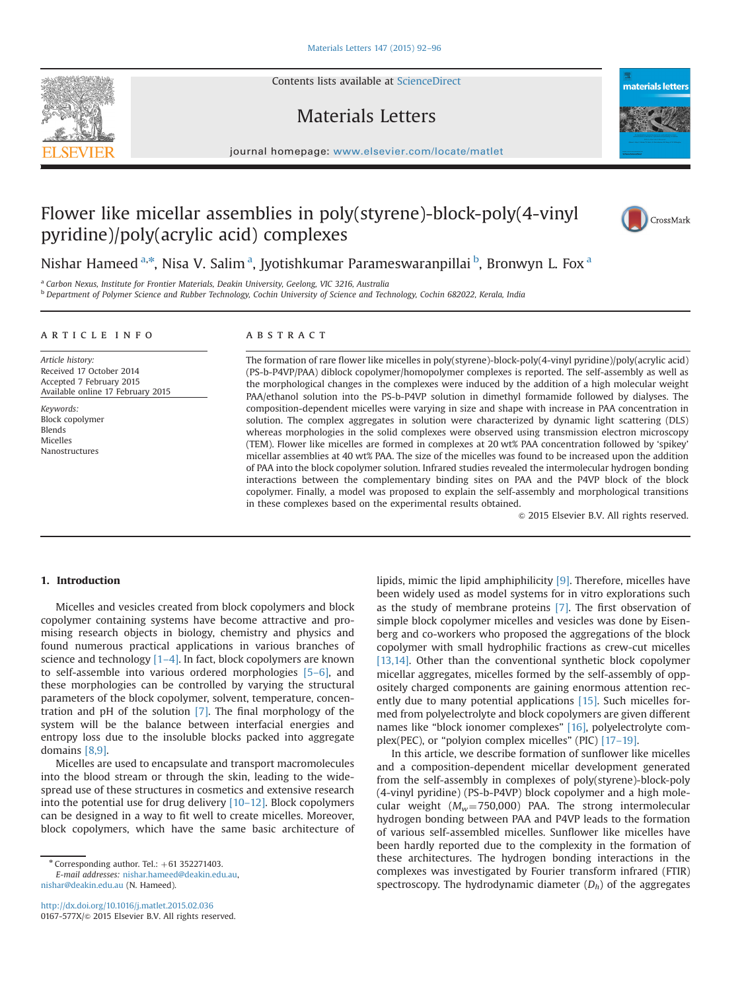Contents lists available at [ScienceDirect](www.sciencedirect.com/science/journal/0167577X)

## Materials Letters

journal homepage: <www.elsevier.com/locate/matlet>t/ $\sim$ 

## Flower like micellar assemblies in poly(styrene)-block-poly(4-vinyl pyridine)/poly(acrylic acid) complexes

Nishar Hameed <sup>a,\*</sup>, Nisa V. Salim <sup>a</sup>, Jyotishkumar Parameswaranpillai <sup>b</sup>, Bronwyn L. Fox <sup>a</sup>

<sup>a</sup> Carbon Nexus, Institute for Frontier Materials, Deakin University, Geelong, VIC 3216, Australia

<sup>b</sup> Department of Polymer Science and Rubber Technology, Cochin University of Science and Technology, Cochin 682022, Kerala, India

#### article info

Article history: Received 17 October 2014 Accepted 7 February 2015 Available online 17 February 2015

Keywords: Block copolymer Blends Micelles Nanostructures

### **ABSTRACT**

The formation of rare flower like micelles in poly(styrene)-block-poly(4-vinyl pyridine)/poly(acrylic acid) (PS-b-P4VP/PAA) diblock copolymer/homopolymer complexes is reported. The self-assembly as well as the morphological changes in the complexes were induced by the addition of a high molecular weight PAA/ethanol solution into the PS-b-P4VP solution in dimethyl formamide followed by dialyses. The composition-dependent micelles were varying in size and shape with increase in PAA concentration in solution. The complex aggregates in solution were characterized by dynamic light scattering (DLS) whereas morphologies in the solid complexes were observed using transmission electron microscopy (TEM). Flower like micelles are formed in complexes at 20 wt% PAA concentration followed by 'spikey' micellar assemblies at 40 wt% PAA. The size of the micelles was found to be increased upon the addition of PAA into the block copolymer solution. Infrared studies revealed the intermolecular hydrogen bonding interactions between the complementary binding sites on PAA and the P4VP block of the block copolymer. Finally, a model was proposed to explain the self-assembly and morphological transitions in these complexes based on the experimental results obtained.

 $\odot$  2015 Elsevier B.V. All rights reserved.

#### 1. Introduction

Micelles and vesicles created from block copolymers and block copolymer containing systems have become attractive and promising research objects in biology, chemistry and physics and found numerous practical applications in various branches of science and technology  $[1-4]$  $[1-4]$ . In fact, block copolymers are known to self-assemble into various ordered morphologies [\[5](#page--1-0)–6], and these morphologies can be controlled by varying the structural parameters of the block copolymer, solvent, temperature, concentration and pH of the solution [\[7\].](#page--1-0) The final morphology of the system will be the balance between interfacial energies and entropy loss due to the insoluble blocks packed into aggregate domains [\[8,9\]](#page--1-0).

Micelles are used to encapsulate and transport macromolecules into the blood stream or through the skin, leading to the widespread use of these structures in cosmetics and extensive research into the potential use for drug delivery [10–[12\]](#page--1-0). Block copolymers can be designed in a way to fit well to create micelles. Moreover, block copolymers, which have the same basic architecture of

E-mail addresses: [nishar.hameed@deakin.edu.au,](mailto:nishar.hameed@deakin.edu.au) [nishar@deakin.edu.au](mailto:nishar@deakin.edu.au) (N. Hameed).

<http://dx.doi.org/10.1016/j.matlet.2015.02.036> 0167-577X/@ 2015 Elsevier B.V. All rights reserved. lipids, mimic the lipid amphiphilicity [\[9\]](#page--1-0). Therefore, micelles have been widely used as model systems for in vitro explorations such as the study of membrane proteins [\[7\]](#page--1-0). The first observation of simple block copolymer micelles and vesicles was done by Eisenberg and co-workers who proposed the aggregations of the block copolymer with small hydrophilic fractions as crew-cut micelles [\[13,14\]](#page--1-0). Other than the conventional synthetic block copolymer micellar aggregates, micelles formed by the self-assembly of oppositely charged components are gaining enormous attention recently due to many potential applications [\[15\]](#page--1-0). Such micelles formed from polyelectrolyte and block copolymers are given different names like "block ionomer complexes" [\[16\]](#page--1-0), polyelectrolyte complex(PEC), or "polyion complex micelles" (PIC) [17–[19\].](#page--1-0)

In this article, we describe formation of sunflower like micelles and a composition-dependent micellar development generated from the self-assembly in complexes of poly(styrene)-block-poly (4-vinyl pyridine) (PS-b-P4VP) block copolymer and a high molecular weight  $(M_w=750,000)$  PAA. The strong intermolecular hydrogen bonding between PAA and P4VP leads to the formation of various self-assembled micelles. Sunflower like micelles have been hardly reported due to the complexity in the formation of these architectures. The hydrogen bonding interactions in the complexes was investigated by Fourier transform infrared (FTIR) spectroscopy. The hydrodynamic diameter  $(D_h)$  of the aggregates







 $*$  Corresponding author. Tel.:  $+61$  352271403.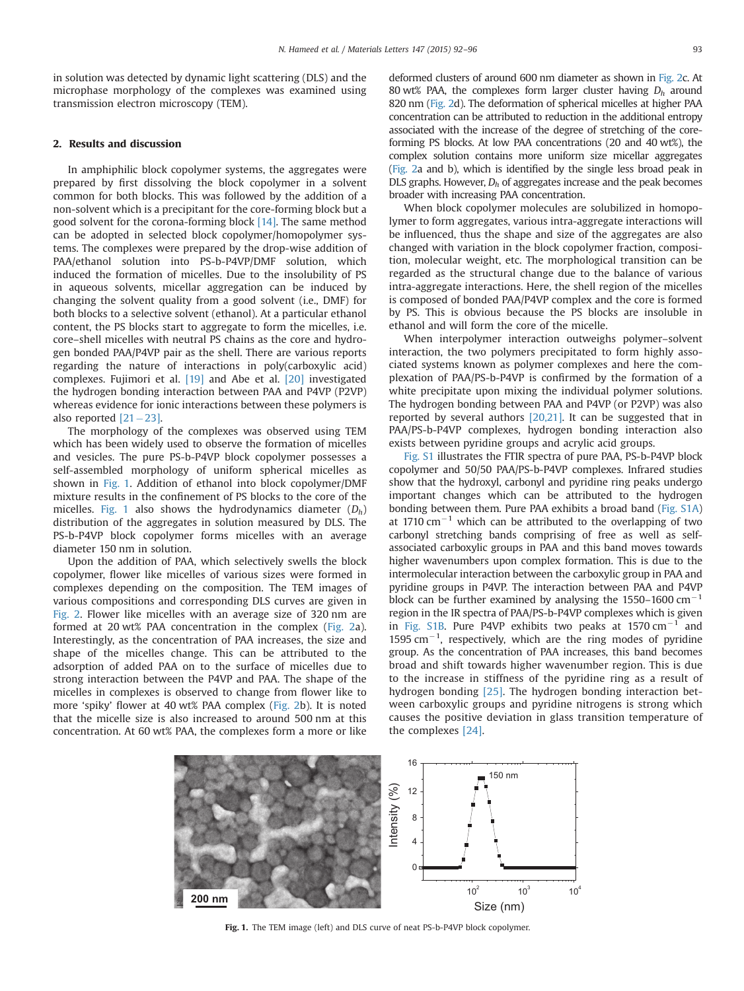in solution was detected by dynamic light scattering (DLS) and the microphase morphology of the complexes was examined using transmission electron microscopy (TEM).

#### 2. Results and discussion

In amphiphilic block copolymer systems, the aggregates were prepared by first dissolving the block copolymer in a solvent common for both blocks. This was followed by the addition of a non-solvent which is a precipitant for the core-forming block but a good solvent for the corona-forming block [\[14\].](#page--1-0) The same method can be adopted in selected block copolymer/homopolymer systems. The complexes were prepared by the drop-wise addition of PAA/ethanol solution into PS-b-P4VP/DMF solution, which induced the formation of micelles. Due to the insolubility of PS in aqueous solvents, micellar aggregation can be induced by changing the solvent quality from a good solvent (i.e., DMF) for both blocks to a selective solvent (ethanol). At a particular ethanol content, the PS blocks start to aggregate to form the micelles, i.e. core–shell micelles with neutral PS chains as the core and hydrogen bonded PAA/P4VP pair as the shell. There are various reports regarding the nature of interactions in poly(carboxylic acid) complexes. Fujimori et al. [\[19\]](#page--1-0) and Abe et al. [\[20\]](#page--1-0) investigated the hydrogen bonding interaction between PAA and P4VP (P2VP) whereas evidence for ionic interactions between these polymers is also reported  $[21-23]$  $[21-23]$  $[21-23]$ .

The morphology of the complexes was observed using TEM which has been widely used to observe the formation of micelles and vesicles. The pure PS-b-P4VP block copolymer possesses a self-assembled morphology of uniform spherical micelles as shown in Fig. 1. Addition of ethanol into block copolymer/DMF mixture results in the confinement of PS blocks to the core of the micelles. Fig. 1 also shows the hydrodynamics diameter  $(D_h)$ distribution of the aggregates in solution measured by DLS. The PS-b-P4VP block copolymer forms micelles with an average diameter 150 nm in solution.

Upon the addition of PAA, which selectively swells the block copolymer, flower like micelles of various sizes were formed in complexes depending on the composition. The TEM images of various compositions and corresponding DLS curves are given in [Fig. 2](#page--1-0). Flower like micelles with an average size of 320 nm are formed at 20 wt% PAA concentration in the complex [\(Fig. 2](#page--1-0)a). Interestingly, as the concentration of PAA increases, the size and shape of the micelles change. This can be attributed to the adsorption of added PAA on to the surface of micelles due to strong interaction between the P4VP and PAA. The shape of the micelles in complexes is observed to change from flower like to more 'spiky' flower at 40 wt% PAA complex [\(Fig. 2](#page--1-0)b). It is noted that the micelle size is also increased to around 500 nm at this concentration. At 60 wt% PAA, the complexes form a more or like

deformed clusters of around 600 nm diameter as shown in [Fig. 2c](#page--1-0). At 80 wt% PAA, the complexes form larger cluster having  $D_h$  around 820 nm ([Fig. 2d](#page--1-0)). The deformation of spherical micelles at higher PAA concentration can be attributed to reduction in the additional entropy associated with the increase of the degree of stretching of the coreforming PS blocks. At low PAA concentrations (20 and 40 wt%), the complex solution contains more uniform size micellar aggregates [\(Fig. 2](#page--1-0)a and b), which is identified by the single less broad peak in DLS graphs. However,  $D_h$  of aggregates increase and the peak becomes broader with increasing PAA concentration.

When block copolymer molecules are solubilized in homopolymer to form aggregates, various intra-aggregate interactions will be influenced, thus the shape and size of the aggregates are also changed with variation in the block copolymer fraction, composition, molecular weight, etc. The morphological transition can be regarded as the structural change due to the balance of various intra-aggregate interactions. Here, the shell region of the micelles is composed of bonded PAA/P4VP complex and the core is formed by PS. This is obvious because the PS blocks are insoluble in ethanol and will form the core of the micelle.

When interpolymer interaction outweighs polymer–solvent interaction, the two polymers precipitated to form highly associated systems known as polymer complexes and here the complexation of PAA/PS-b-P4VP is confirmed by the formation of a white precipitate upon mixing the individual polymer solutions. The hydrogen bonding between PAA and P4VP (or P2VP) was also reported by several authors [\[20,21\]](#page--1-0). It can be suggested that in PAA/PS-b-P4VP complexes, hydrogen bonding interaction also exists between pyridine groups and acrylic acid groups.

[Fig. S1](#page--1-0) illustrates the FTIR spectra of pure PAA, PS-b-P4VP block copolymer and 50/50 PAA/PS-b-P4VP complexes. Infrared studies show that the hydroxyl, carbonyl and pyridine ring peaks undergo important changes which can be attributed to the hydrogen bonding between them. Pure PAA exhibits a broad band ([Fig. S1A\)](#page--1-0) at 1710  $cm^{-1}$  which can be attributed to the overlapping of two carbonyl stretching bands comprising of free as well as selfassociated carboxylic groups in PAA and this band moves towards higher wavenumbers upon complex formation. This is due to the intermolecular interaction between the carboxylic group in PAA and pyridine groups in P4VP. The interaction between PAA and P4VP block can be further examined by analysing the 1550–1600  $cm^{-1}$ region in the IR spectra of PAA/PS-b-P4VP complexes which is given in [Fig. S1B.](#page--1-0) Pure P4VP exhibits two peaks at 1570  $cm^{-1}$  and  $1595$  cm<sup>-1</sup>, respectively, which are the ring modes of pyridine group. As the concentration of PAA increases, this band becomes broad and shift towards higher wavenumber region. This is due to the increase in stiffness of the pyridine ring as a result of hydrogen bonding [\[25\].](#page--1-0) The hydrogen bonding interaction between carboxylic groups and pyridine nitrogens is strong which causes the positive deviation in glass transition temperature of the complexes [\[24\]](#page--1-0).



Fig. 1. The TEM image (left) and DLS curve of neat PS-b-P4VP block copolymer.